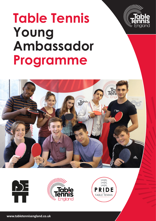

# **Table Tennis Young Ambassador Programme**







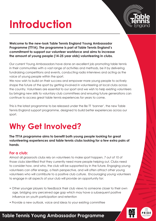## **Introduction**



**Welcome to the new-look Table Tennis England Young Ambassador Programme (TTYA). The programme is part of Table Tennis England's commitment to support our volunteer workforce and aims to increase the amount of young people (14-25 year olds) volunteering in clubs.**

Our current Young Ambassadors have done an excellent job promoting table tennis in their communities with a vast range of activities and methods, be it by delivering fundraising competitions and events, conducting radio interviews and acting as the voice of young people within the sport.

We now wish to build on their success and empower more young people to actively shape the future of the sport by getting involved in volunteering at local clubs across the country. Volunteers are essential to our sport and we wish to help existing volunteers by bringing new skills to voluntary club committees and ensuring future generations can continue to access great table tennis experiences for years to come.

This is the latest programme to be released under the Be TT 'banner', the new Table Tennis England support programme, designed to build better experiences across our sport.

### **Why Get Involved?**

**The TTYA programme aims to benefit both young people looking for great volunteering experiences and table tennis clubs looking for a few extra pairs of hands**.

#### **For a club:**

Almost all grassroots clubs rely on volunteers to make sport happen, 7 out of 10 of those clubs identified that they currently need more people helping out. Clubs need to consider how, and who, the club will be supported by in the future. Engaging young volunteers can offer energy, a fresh perspective, and will often attract other young volunteers who will contribute to a positive club culture. Encouraging young volunteers to engage in all aspects of your club will provide an opportunity for:

- Other younger players to feedback their club views to someone closer to their own age, bridging any perceived age gap which may have a subsequent positive influence on youth participation and retention
- Provide a new outlook, voice and ideas to your existing committee

#### **Table Tennis Young Ambassador Programme**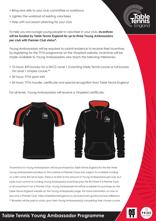- Bring new skills to your club committee or workforce
- Lighten the workload of existing volunteers
- Help with succession planning for your club



Young Ambassadors will be required to submit evidence to receive their incentives by registering for the TTYA programme on the Vinspired website. Incentives will be made available to Young Ambassadors who reach the following milestones:

- 10 hours: £95 bursary for a UKCC Level 1 Coaching Table Tennis course or full bursary for Level 1 Umpire course.\*\*
- 30 hours: TTYA sport shirt
- 50 hours: TTYA hoodie, certificate and special recognition from Table Tennis England

For all levels, Young Ambassadors will receive a Vinspired certificate.



*\*Incentives for Young Ambassadors will be purchased by Table Tennis England for the first three Young Ambassadors enrolled on the scheme at Premier Clubs only subject to available funding on a first come first serve basis. There is no limit to the amount of Young Ambassadors per club, but clubs must commit to funding Young Ambassador incentives past the first three if a Premier Club, or all incentives if not a Premier Club. Young Ambassador kit will be available for purchase on the Table Tennis England website on the Young Ambassador page. For more information on how to become a Premier Club: https://tabletennisengland.co.uk/clubs/clubs-guidance/club-affiliation/ \*\* Bursaries will be paid to clubs upon their Young Ambassador(s) completing their chosen course.*



#### **Table Tennis Young Ambassador Programme**